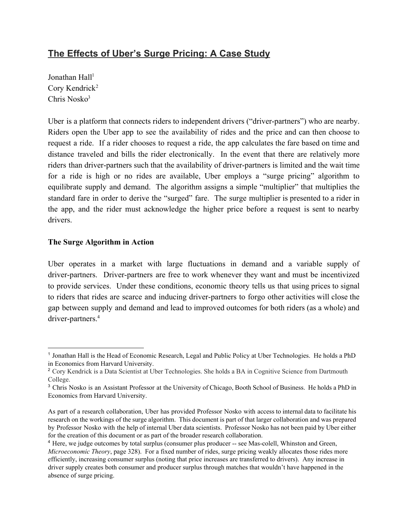## **The Effects of Uber's Surge Pricing: A Case Study**

Jonathan Hall<sup>1</sup> Cory Kendrick 2 Chris Nosko 3

Uber is a platform that connects riders to independent drivers ("driver-partners") who are nearby. Riders open the Uber app to see the availability of rides and the price and can then choose to request a ride. If a rider chooses to request a ride, the app calculates the fare based on time and distance traveled and bills the rider electronically. In the event that there are relatively more riders than driver-partners such that the availability of driver-partners is limited and the wait time for a ride is high or no rides are available, Uber employs a "surge pricing" algorithm to equilibrate supply and demand. The algorithm assigns a simple "multiplier" that multiplies the standard fare in order to derive the "surged" fare. The surge multiplier is presented to a rider in the app, and the rider must acknowledge the higher price before a request is sent to nearby drivers.

## **The Surge Algorithm in Action**

Uber operates in a market with large fluctuations in demand and a variable supply of driver-partners. Driver-partners are free to work whenever they want and must be incentivized to provide services. Under these conditions, economic theory tells us that using prices to signal to riders that rides are scarce and inducing driver-partners to forgo other activities will close the gap between supply and demand and lead to improved outcomes for both riders (as a whole) and driver-partners.<sup>4</sup>

<sup>1</sup> Jonathan Hall is the Head of Economic Research, Legal and Public Policy at Uber Technologies. He holds a PhD in Economics from Harvard University.

<sup>&</sup>lt;sup>2</sup> Cory Kendrick is a Data Scientist at Uber Technologies. She holds a BA in Cognitive Science from Dartmouth College.

<sup>3</sup> Chris Nosko is an Assistant Professor at the University of Chicago, Booth School of Business. He holds a PhD in Economics from Harvard University.

As part of a research collaboration, Uber has provided Professor Nosko with access to internal data to facilitate his research on the workings of the surge algorithm. This document is part of that larger collaboration and was prepared by Professor Nosko with the help of internal Uber data scientists. Professor Nosko has not been paid by Uber either for the creation of this document or as part of the broader research collaboration.

<sup>&</sup>lt;sup>4</sup> Here, we judge outcomes by total surplus (consumer plus producer -- see Mas-colell, Whinston and Green, *Microeconomic Theory*, page 328). For a fixed number of rides, surge pricing weakly allocates those rides more efficiently, increasing consumer surplus (noting that price increases are transferred to drivers). Any increase in driver supply creates both consumer and producer surplus through matches that wouldn't have happened in the absence of surge pricing.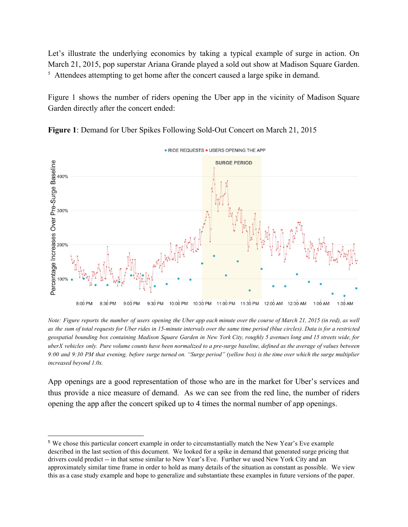Let's illustrate the underlying economics by taking a typical example of surge in action. On March 21, 2015, pop superstar Ariana Grande played a sold out show at Madison Square Garden.  $5$  Attendees attempting to get home after the concert caused a large spike in demand.

Figure 1 shows the number of riders opening the Uber app in the vicinity of Madison Square Garden directly after the concert ended:



**Figure 1**: Demand for Uber Spikes Following Sold-Out Concert on March 21, 2015

Note: Figure reports the number of users opening the Uber app each minute over the course of March 21, 2015 (in red), as well as the sum of total requests for Uber rides in 15-minute intervals over the same time period (blue circles). Data is for a restricted geospatial bounding box containing Madison Square Garden in New York City, roughly 5 avenues long and 15 streets wide, for uberX vehicles only. Pure volume counts have been normalized to a pre-surge baseline, defined as the average of values between 9:00 and 9:30 PM that evening, before surge turned on. "Surge period" (yellow box) is the time over which the surge multiplier *increased beyond 1.0x.*

App openings are a good representation of those who are in the market for Uber's services and thus provide a nice measure of demand. As we can see from the red line, the number of riders opening the app after the concert spiked up to 4 times the normal number of app openings.

<sup>5</sup> We chose this particular concert example in order to circumstantially match the New Year's Eve example described in the last section of this document. We looked for a spike in demand that generated surge pricing that drivers could predict -- in that sense similar to New Year's Eve. Further we used New York City and an approximately similar time frame in order to hold as many details of the situation as constant as possible. We view this as a case study example and hope to generalize and substantiate these examples in future versions of the paper.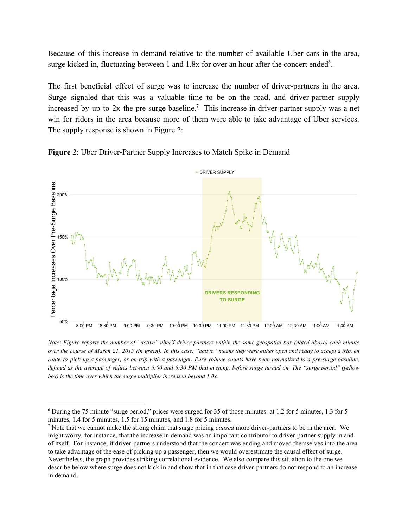Because of this increase in demand relative to the number of available Uber cars in the area, surge kicked in, fluctuating between 1 and  $1.8x$  for over an hour after the concert ended<sup>6</sup>.

The first beneficial effect of surge was to increase the number of driver-partners in the area. Surge signaled that this was a valuable time to be on the road, and driver-partner supply increased by up to  $2x$  the pre-surge baseline.<sup>7</sup> This increase in driver-partner supply was a net win for riders in the area because more of them were able to take advantage of Uber services. The supply response is shown in Figure 2:





Note: Figure reports the number of "active" uberX driver-partners within the same geospatial box (noted above) each minute over the course of March 21, 2015 (in green). In this case, "active" means they were either open and ready to accept a trip, en route to pick up a passenger, or on trip with a passenger. Pure volume counts have been normalized to a pre-surge baseline, defined as the average of values between 9:00 and 9:30 PM that evening, before surge turned on. The "surge period" (yellow *box) is the time over which the surge multiplier increased beyond 1.0x.*

<sup>6</sup> During the 75 minute "surge period," prices were surged for 35 of those minutes: at 1.2 for 5 minutes, 1.3 for 5 minutes, 1.4 for 5 minutes, 1.5 for 15 minutes, and 1.8 for 5 minutes.

<sup>&</sup>lt;sup>7</sup> Note that we cannot make the strong claim that surge pricing *caused* more driver-partners to be in the area. We might worry, for instance, that the increase in demand was an important contributor to driver-partner supply in and of itself. For instance, if driverpartners understood that the concert was ending and moved themselves into the area to take advantage of the ease of picking up a passenger, then we would overestimate the causal effect of surge. Nevertheless, the graph provides striking correlational evidence. We also compare this situation to the one we describe below where surge does not kick in and show that in that case driver-partners do not respond to an increase in demand.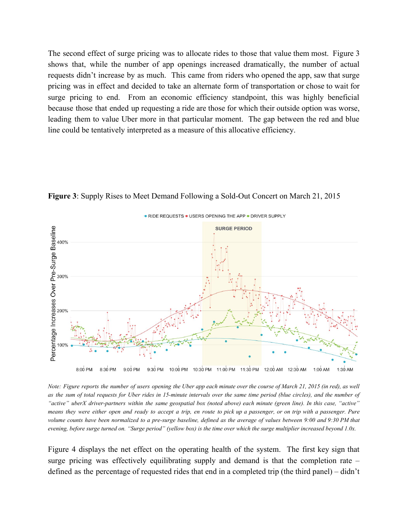The second effect of surge pricing was to allocate rides to those that value them most. Figure 3 shows that, while the number of app openings increased dramatically, the number of actual requests didn't increase by as much. This came from riders who opened the app, saw that surge pricing was in effect and decided to take an alternate form of transportation or chose to wait for surge pricing to end. From an economic efficiency standpoint, this was highly beneficial because those that ended up requesting a ride are those for which their outside option was worse, leading them to value Uber more in that particular moment. The gap between the red and blue line could be tentatively interpreted as a measure of this allocative efficiency.



**Figure 3:** Supply Rises to Meet Demand Following a Sold-Out Concert on March 21, 2015

Note: Figure reports the number of users opening the Uber app each minute over the course of March 21, 2015 (in red), as well as the sum of total requests for Uber rides in 15-minute intervals over the same time period (blue circles), and the number of "active" uberX driver-partners within the same geospatial box (noted above) each minute (green line). In this case, "active" means they were either open and ready to accept a trip, en route to pick up a passenger, or on trip with a passenger. Pure volume counts have been normalized to a pre-surge baseline, defined as the average of values between 9:00 and 9:30 PM that evening, before surge turned on. "Surge period" (yellow box) is the time over which the surge multiplier increased beyond 1.0x.

Figure 4 displays the net effect on the operating health of the system. The first key sign that surge pricing was effectively equilibrating supply and demand is that the completion rate – defined as the percentage of requested rides that end in a completed trip (the third panel) – didn't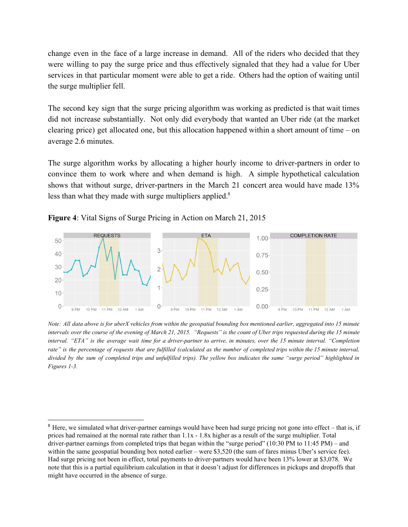change even in the face of a large increase in demand. All of the riders who decided that they were willing to pay the surge price and thus effectively signaled that they had a value for Uber services in that particular moment were able to get a ride. Others had the option of waiting until the surge multiplier fell.

The second key sign that the surge pricing algorithm was working as predicted is that wait times did not increase substantially. Not only did everybody that wanted an Uber ride (at the market clearing price) get allocated one, but this allocation happened within a short amount of time – on average 2.6 minutes.

The surge algorithm works by allocating a higher hourly income to driver-partners in order to convince them to work where and when demand is high. A simple hypothetical calculation shows that without surge, driver-partners in the March 21 concert area would have made  $13\%$ less than what they made with surge multipliers applied.<sup>8</sup>





Note: All data above is for uberX vehicles from within the geospatial bounding box mentioned earlier, aggregated into 15 minute intervals over the course of the evening of March 21, 2015. "Requests" is the count of Uber trips requested during the 15 minute interval. "ETA" is the average wait time for a driver-partner to arrive, in minutes, over the 15 minute interval. "Completion rate" is the percentage of requests that are fulfilled (calculated as the number of completed trips within the 15 minute interval, divided by the sum of completed trips and unfulfilled trips). The vellow box indicates the same "surge period" highlighted in *Figures* 1-3.

<sup>&</sup>lt;sup>8</sup> Here, we simulated what driver-partner earnings would have been had surge pricing not gone into effect – that is, if prices had remained at the normal rate rather than 1.1x 1.8x higher as a result of the surge multiplier. Total driver-partner earnings from completed trips that began within the "surge period" (10:30 PM to 11:45 PM) – and within the same geospatial bounding box noted earlier – were \$3,520 (the sum of fares minus Uber's service fee). Had surge pricing not been in effect, total payments to driver-partners would have been 13% lower at \$3,078. We note that this is a partial equilibrium calculation in that it doesn't adjust for differences in pickups and dropoffs that might have occurred in the absence of surge.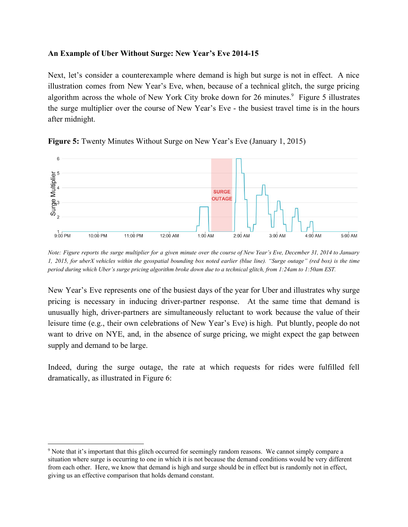## **An Example of Uber Without Surge: New Year's Eve 201415**

Next, let's consider a counterexample where demand is high but surge is not in effect. A nice illustration comes from New Year's Eve, when, because of a technical glitch, the surge pricing algorithm across the whole of New York City broke down for 26 minutes.<sup>9</sup> Figure 5 illustrates the surge multiplier over the course of New Year's Eve - the busiest travel time is in the hours after midnight.



**Figure 5:** Twenty Minutes Without Surge on New Year's Eve (January 1, 2015)

Note: Figure reports the surge multiplier for a given minute over the course of New Year's Eve, December 31, 2014 to January 1, 2015, for uberX vehicles within the geospatial bounding box noted earlier (blue line). "Surge outage" (red box) is the time period during which Uber's surge pricing algorithm broke down due to a technical glitch, from 1:24am to 1:50am EST.

New Year's Eve represents one of the busiest days of the year for Uber and illustrates why surge pricing is necessary in inducing driver-partner response. At the same time that demand is unusually high, driver-partners are simultaneously reluctant to work because the value of their leisure time (e.g., their own celebrations of New Year's Eve) is high. Put bluntly, people do not want to drive on NYE, and, in the absence of surge pricing, we might expect the gap between supply and demand to be large.

Indeed, during the surge outage, the rate at which requests for rides were fulfilled fell dramatically, as illustrated in Figure 6:

<sup>9</sup> Note that it's important that this glitch occurred for seemingly random reasons. We cannot simply compare a situation where surge is occurring to one in which it is not because the demand conditions would be very different from each other. Here, we know that demand is high and surge should be in effect but is randomly not in effect, giving us an effective comparison that holds demand constant.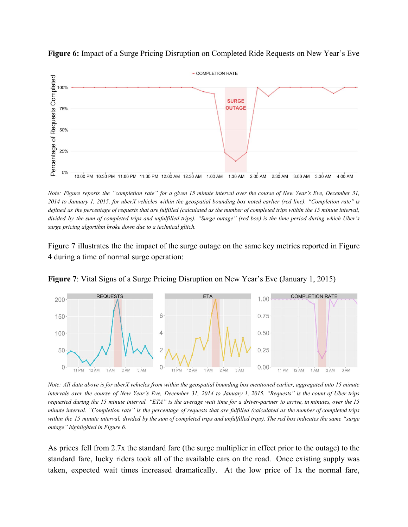

**Figure 6:** Impact of a Surge Pricing Disruption on Completed Ride Requests on New Year's Eve

Note: Figure reports the "completion rate" for a given 15 minute interval over the course of New Year's Eve, December 31, 2014 to January 1, 2015, for uberX vehicles within the geospatial bounding box noted earlier (red line). "Completion rate" is defined as the percentage of requests that are fulfilled (calculated as the number of completed trips within the 15 minute interval, divided by the sum of completed trips and unfulfilled trips). "Surge outage" (red box) is the time period during which Uber's *surge pricing algorithm broke down due to a technical glitch.*

Figure 7 illustrates the the impact of the surge outage on the same key metrics reported in Figure 4 during a time of normal surge operation:



**Figure 7**: Vital Signs of a Surge Pricing Disruption on New Year's Eve (January 1, 2015)

Note: All data above is for uberX vehicles from within the geospatial bounding box mentioned earlier, aggregated into 15 minute intervals over the course of New Year's Eve, December 31, 2014 to January 1, 2015. "Requests" is the count of Uber trips requested during the 15 minute interval. "ETA" is the average wait time for a driver-partner to arrive, in minutes, over the 15 minute interval. "Completion rate" is the percentage of requests that are fulfilled (calculated as the number of completed trips within the 15 minute interval, divided by the sum of completed trips and unfulfilled trips). The red box indicates the same "surge *outage" highlighted in Figure 6.*

As prices fell from 2.7x the standard fare (the surge multiplier in effect prior to the outage) to the standard fare, lucky riders took all of the available cars on the road. Once existing supply was taken, expected wait times increased dramatically. At the low price of 1x the normal fare,